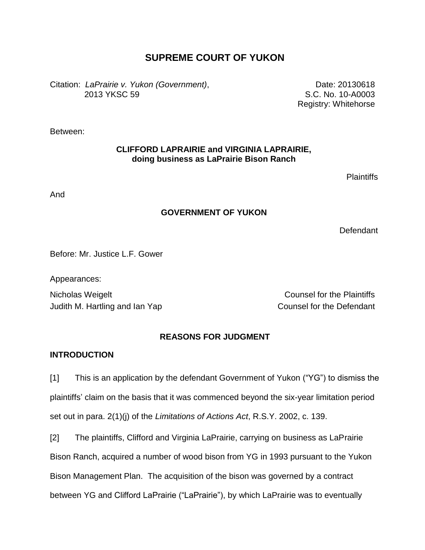# **SUPREME COURT OF YUKON**

Citation: *LaPrairie v. Yukon (Government)*, 2013 YKSC 59

Date: 20130618 S.C. No. 10-A0003 Registry: Whitehorse

Between:

## **CLIFFORD LAPRAIRIE and VIRGINIA LAPRAIRIE, doing business as LaPrairie Bison Ranch**

Plaintiffs

And

## **GOVERNMENT OF YUKON**

**Defendant** 

Before: Mr. Justice L.F. Gower

Appearances:

Nicholas Weigelt **Nicholas Weigelt** Counsel for the Plaintiffs Judith M. Hartling and Ian Yap Counsel for the Defendant

## **REASONS FOR JUDGMENT**

## **INTRODUCTION**

[1] This is an application by the defendant Government of Yukon ("YG") to dismiss the plaintiffs" claim on the basis that it was commenced beyond the six-year limitation period set out in para. 2(1)(j) of the *Limitations of Actions Act*, R.S.Y. 2002, c. 139.

[2] The plaintiffs, Clifford and Virginia LaPrairie, carrying on business as LaPrairie Bison Ranch, acquired a number of wood bison from YG in 1993 pursuant to the Yukon Bison Management Plan. The acquisition of the bison was governed by a contract between YG and Clifford LaPrairie ("LaPrairie"), by which LaPrairie was to eventually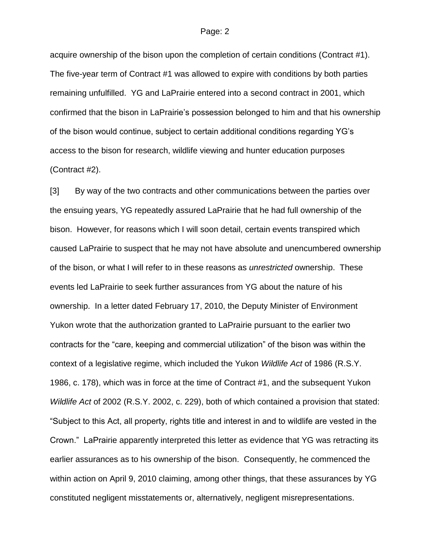acquire ownership of the bison upon the completion of certain conditions (Contract #1). The five-year term of Contract #1 was allowed to expire with conditions by both parties remaining unfulfilled. YG and LaPrairie entered into a second contract in 2001, which confirmed that the bison in LaPrairie"s possession belonged to him and that his ownership of the bison would continue, subject to certain additional conditions regarding YG"s access to the bison for research, wildlife viewing and hunter education purposes (Contract #2).

[3] By way of the two contracts and other communications between the parties over the ensuing years, YG repeatedly assured LaPrairie that he had full ownership of the bison. However, for reasons which I will soon detail, certain events transpired which caused LaPrairie to suspect that he may not have absolute and unencumbered ownership of the bison, or what I will refer to in these reasons as *unrestricted* ownership. These events led LaPrairie to seek further assurances from YG about the nature of his ownership. In a letter dated February 17, 2010, the Deputy Minister of Environment Yukon wrote that the authorization granted to LaPrairie pursuant to the earlier two contracts for the "care, keeping and commercial utilization" of the bison was within the context of a legislative regime, which included the Yukon *Wildlife Act* of 1986 (R.S.Y. 1986, c. 178), which was in force at the time of Contract #1, and the subsequent Yukon *Wildlife Act* of 2002 (R.S.Y. 2002, c. 229), both of which contained a provision that stated: "Subject to this Act, all property, rights title and interest in and to wildlife are vested in the Crown." LaPrairie apparently interpreted this letter as evidence that YG was retracting its earlier assurances as to his ownership of the bison. Consequently, he commenced the within action on April 9, 2010 claiming, among other things, that these assurances by YG constituted negligent misstatements or, alternatively, negligent misrepresentations.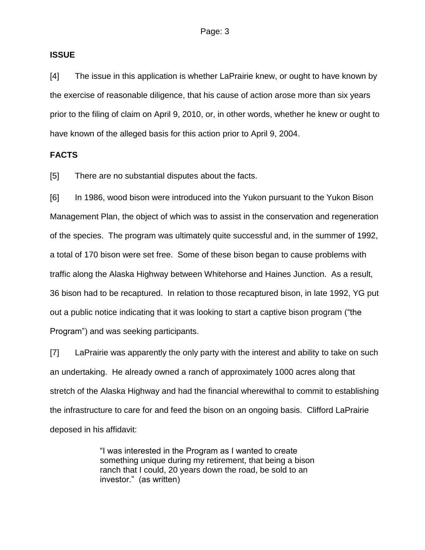### **ISSUE**

[4] The issue in this application is whether LaPrairie knew, or ought to have known by the exercise of reasonable diligence, that his cause of action arose more than six years prior to the filing of claim on April 9, 2010, or, in other words, whether he knew or ought to have known of the alleged basis for this action prior to April 9, 2004.

## **FACTS**

[5] There are no substantial disputes about the facts.

[6] In 1986, wood bison were introduced into the Yukon pursuant to the Yukon Bison Management Plan, the object of which was to assist in the conservation and regeneration of the species. The program was ultimately quite successful and, in the summer of 1992, a total of 170 bison were set free. Some of these bison began to cause problems with traffic along the Alaska Highway between Whitehorse and Haines Junction. As a result, 36 bison had to be recaptured. In relation to those recaptured bison, in late 1992, YG put out a public notice indicating that it was looking to start a captive bison program ("the Program") and was seeking participants.

[7] LaPrairie was apparently the only party with the interest and ability to take on such an undertaking. He already owned a ranch of approximately 1000 acres along that stretch of the Alaska Highway and had the financial wherewithal to commit to establishing the infrastructure to care for and feed the bison on an ongoing basis. Clifford LaPrairie deposed in his affidavit:

> "I was interested in the Program as I wanted to create something unique during my retirement, that being a bison ranch that I could, 20 years down the road, be sold to an investor." (as written)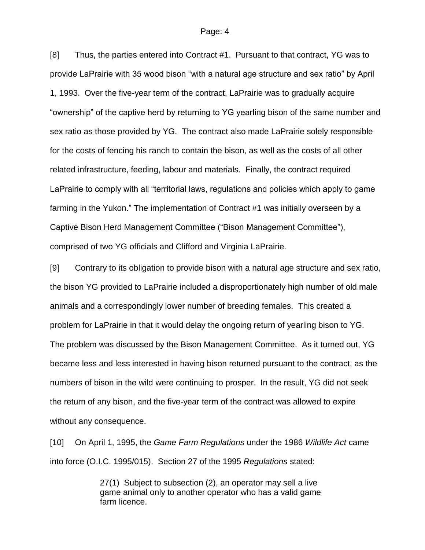[8] Thus, the parties entered into Contract #1. Pursuant to that contract, YG was to provide LaPrairie with 35 wood bison "with a natural age structure and sex ratio" by April 1, 1993. Over the five-year term of the contract, LaPrairie was to gradually acquire "ownership" of the captive herd by returning to YG yearling bison of the same number and sex ratio as those provided by YG. The contract also made LaPrairie solely responsible for the costs of fencing his ranch to contain the bison, as well as the costs of all other related infrastructure, feeding, labour and materials. Finally, the contract required LaPrairie to comply with all "territorial laws, regulations and policies which apply to game farming in the Yukon." The implementation of Contract #1 was initially overseen by a Captive Bison Herd Management Committee ("Bison Management Committee"), comprised of two YG officials and Clifford and Virginia LaPrairie.

[9] Contrary to its obligation to provide bison with a natural age structure and sex ratio, the bison YG provided to LaPrairie included a disproportionately high number of old male animals and a correspondingly lower number of breeding females. This created a problem for LaPrairie in that it would delay the ongoing return of yearling bison to YG. The problem was discussed by the Bison Management Committee. As it turned out, YG became less and less interested in having bison returned pursuant to the contract, as the numbers of bison in the wild were continuing to prosper. In the result, YG did not seek the return of any bison, and the five-year term of the contract was allowed to expire without any consequence.

[10] On April 1, 1995, the *Game Farm Regulations* under the 1986 *Wildlife Act* came into force (O.I.C. 1995/015). Section 27 of the 1995 *Regulations* stated:

> 27(1) Subject to subsection (2), an operator may sell a live game animal only to another operator who has a valid game farm licence.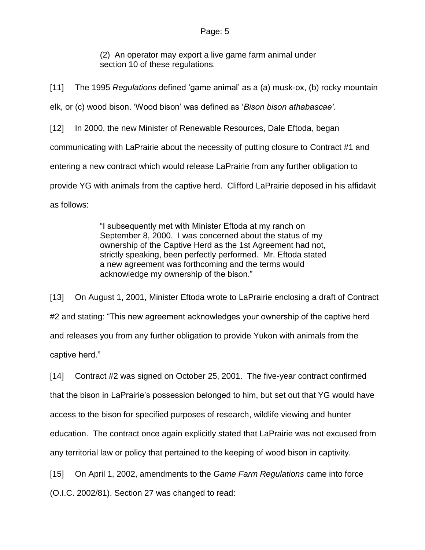(2) An operator may export a live game farm animal under section 10 of these regulations.

[11] The 1995 *Regulations* defined "game animal" as a (a) musk-ox, (b) rocky mountain elk, or (c) wood bison. "Wood bison" was defined as "*Bison bison athabascae'*. [12] In 2000, the new Minister of Renewable Resources, Dale Eftoda, began communicating with LaPrairie about the necessity of putting closure to Contract #1 and entering a new contract which would release LaPrairie from any further obligation to provide YG with animals from the captive herd. Clifford LaPrairie deposed in his affidavit as follows:

> "I subsequently met with Minister Eftoda at my ranch on September 8, 2000. I was concerned about the status of my ownership of the Captive Herd as the 1st Agreement had not, strictly speaking, been perfectly performed. Mr. Eftoda stated a new agreement was forthcoming and the terms would acknowledge my ownership of the bison."

[13] On August 1, 2001, Minister Eftoda wrote to LaPrairie enclosing a draft of Contract #2 and stating: "This new agreement acknowledges your ownership of the captive herd and releases you from any further obligation to provide Yukon with animals from the captive herd."

[14] Contract #2 was signed on October 25, 2001. The five-year contract confirmed that the bison in LaPrairie"s possession belonged to him, but set out that YG would have access to the bison for specified purposes of research, wildlife viewing and hunter education. The contract once again explicitly stated that LaPrairie was not excused from any territorial law or policy that pertained to the keeping of wood bison in captivity.

[15] On April 1, 2002, amendments to the *Game Farm Regulations* came into force

(O.I.C. 2002/81). Section 27 was changed to read: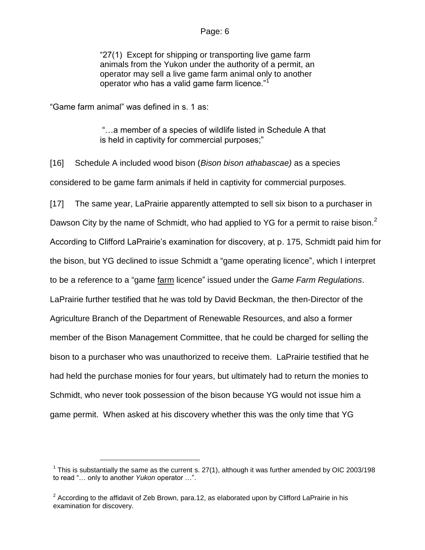"27(1) Except for shipping or transporting live game farm animals from the Yukon under the authority of a permit, an operator may sell a live game farm animal only to another operator who has a valid game farm licence."<sup>1</sup>

"Game farm animal" was defined in s. 1 as:

 $\overline{a}$ 

"…a member of a species of wildlife listed in Schedule A that is held in captivity for commercial purposes;"

[16] Schedule A included wood bison (*Bison bison athabascae)* as a species considered to be game farm animals if held in captivity for commercial purposes.

[17] The same year, LaPrairie apparently attempted to sell six bison to a purchaser in Dawson City by the name of Schmidt, who had applied to YG for a permit to raise bison.<sup>2</sup> According to Clifford LaPrairie"s examination for discovery, at p. 175, Schmidt paid him for the bison, but YG declined to issue Schmidt a "game operating licence", which I interpret to be a reference to a "game farm licence" issued under the *Game Farm Regulations*. LaPrairie further testified that he was told by David Beckman, the then-Director of the Agriculture Branch of the Department of Renewable Resources, and also a former member of the Bison Management Committee, that he could be charged for selling the bison to a purchaser who was unauthorized to receive them. LaPrairie testified that he had held the purchase monies for four years, but ultimately had to return the monies to Schmidt, who never took possession of the bison because YG would not issue him a game permit. When asked at his discovery whether this was the only time that YG

<sup>&</sup>lt;sup>1</sup> This is substantially the same as the current s. 27(1), although it was further amended by OIC 2003/198 to read "… only to another *Yukon* operator …".

<sup>&</sup>lt;sup>2</sup> According to the affidavit of Zeb Brown, para.12, as elaborated upon by Clifford LaPrairie in his examination for discovery.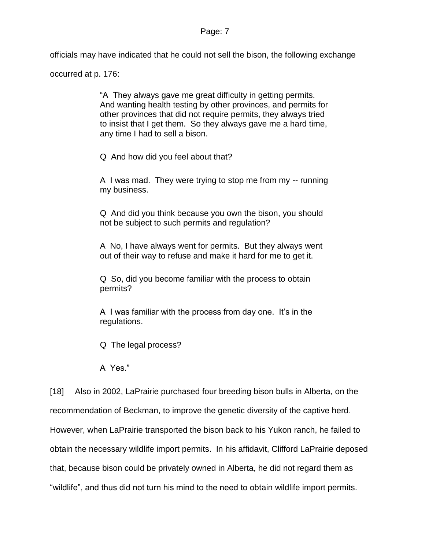officials may have indicated that he could not sell the bison, the following exchange

occurred at p. 176:

"A They always gave me great difficulty in getting permits. And wanting health testing by other provinces, and permits for other provinces that did not require permits, they always tried to insist that I get them. So they always gave me a hard time, any time I had to sell a bison.

Q And how did you feel about that?

A I was mad. They were trying to stop me from my -- running my business.

Q And did you think because you own the bison, you should not be subject to such permits and regulation?

A No, I have always went for permits. But they always went out of their way to refuse and make it hard for me to get it.

Q So, did you become familiar with the process to obtain permits?

A I was familiar with the process from day one. It"s in the regulations.

Q The legal process?

A Yes."

[18] Also in 2002, LaPrairie purchased four breeding bison bulls in Alberta, on the recommendation of Beckman, to improve the genetic diversity of the captive herd. However, when LaPrairie transported the bison back to his Yukon ranch, he failed to obtain the necessary wildlife import permits. In his affidavit, Clifford LaPrairie deposed that, because bison could be privately owned in Alberta, he did not regard them as "wildlife", and thus did not turn his mind to the need to obtain wildlife import permits.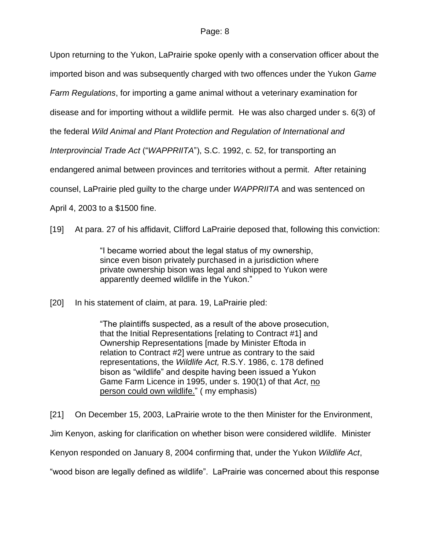Upon returning to the Yukon, LaPrairie spoke openly with a conservation officer about the

imported bison and was subsequently charged with two offences under the Yukon *Game* 

*Farm Regulations*, for importing a game animal without a veterinary examination for

disease and for importing without a wildlife permit. He was also charged under s. 6(3) of

the federal *Wild Animal and Plant Protection and Regulation of International and* 

*Interprovincial Trade Act* ("*WAPPRIITA*"), S.C. 1992, c. 52, for transporting an

endangered animal between provinces and territories without a permit.After retaining

counsel, LaPrairie pled guilty to the charge under *WAPPRIITA* and was sentenced on

April 4, 2003 to a \$1500 fine.

[19] At para. 27 of his affidavit, Clifford LaPrairie deposed that, following this conviction:

"I became worried about the legal status of my ownership, since even bison privately purchased in a jurisdiction where private ownership bison was legal and shipped to Yukon were apparently deemed wildlife in the Yukon."

[20] In his statement of claim, at para. 19, LaPrairie pled:

"The plaintiffs suspected, as a result of the above prosecution, that the Initial Representations [relating to Contract #1] and Ownership Representations [made by Minister Eftoda in relation to Contract #2] were untrue as contrary to the said representations, the *Wildlife Act,* R.S.Y. 1986, c. 178 defined bison as "wildlife" and despite having been issued a Yukon Game Farm Licence in 1995, under s. 190(1) of that *Act*, no person could own wildlife." ( my emphasis)

[21] On December 15, 2003, LaPrairie wrote to the then Minister for the Environment,

Jim Kenyon, asking for clarification on whether bison were considered wildlife. Minister

Kenyon responded on January 8, 2004 confirming that, under the Yukon *Wildlife Act*,

"wood bison are legally defined as wildlife". LaPrairie was concerned about this response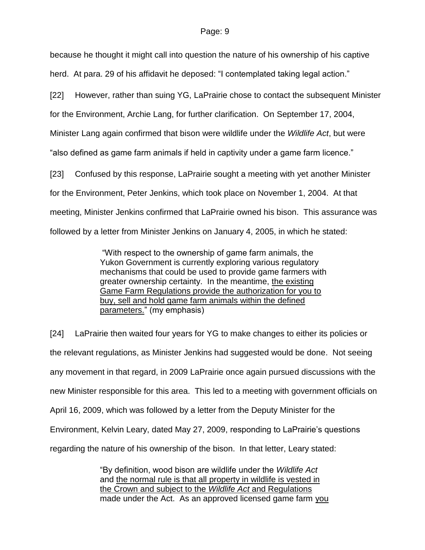because he thought it might call into question the nature of his ownership of his captive herd. At para. 29 of his affidavit he deposed: "I contemplated taking legal action."

[22] However, rather than suing YG, LaPrairie chose to contact the subsequent Minister for the Environment, Archie Lang, for further clarification. On September 17, 2004, Minister Lang again confirmed that bison were wildlife under the *Wildlife Act*, but were "also defined as game farm animals if held in captivity under a game farm licence."

[23] Confused by this response, LaPrairie sought a meeting with yet another Minister for the Environment, Peter Jenkins, which took place on November 1, 2004. At that meeting, Minister Jenkins confirmed that LaPrairie owned his bison. This assurance was followed by a letter from Minister Jenkins on January 4, 2005, in which he stated:

> "With respect to the ownership of game farm animals, the Yukon Government is currently exploring various regulatory mechanisms that could be used to provide game farmers with greater ownership certainty. In the meantime, the existing Game Farm Regulations provide the authorization for you to buy, sell and hold game farm animals within the defined parameters." (my emphasis)

[24] LaPrairie then waited four years for YG to make changes to either its policies or the relevant regulations, as Minister Jenkins had suggested would be done. Not seeing any movement in that regard, in 2009 LaPrairie once again pursued discussions with the new Minister responsible for this area. This led to a meeting with government officials on April 16, 2009, which was followed by a letter from the Deputy Minister for the Environment, Kelvin Leary, dated May 27, 2009, responding to LaPrairie"s questions regarding the nature of his ownership of the bison. In that letter, Leary stated:

> "By definition, wood bison are wildlife under the *Wildlife Act* and the normal rule is that all property in wildlife is vested in the Crown and subject to the *Wildlife Act* and Regulations made under the Act. As an approved licensed game farm you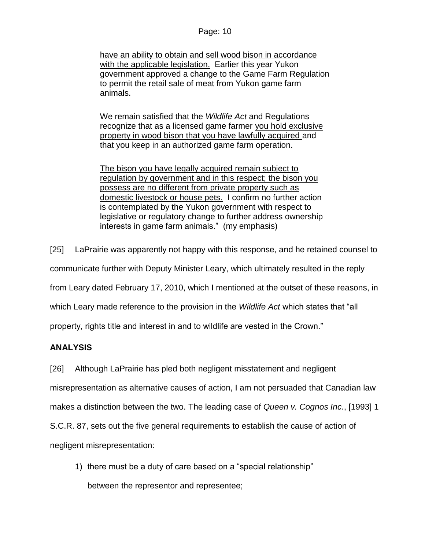have an ability to obtain and sell wood bison in accordance with the applicable legislation. Earlier this year Yukon government approved a change to the Game Farm Regulation to permit the retail sale of meat from Yukon game farm animals.

We remain satisfied that the *Wildlife Act* and Regulations recognize that as a licensed game farmer you hold exclusive property in wood bison that you have lawfully acquired and that you keep in an authorized game farm operation.

The bison you have legally acquired remain subject to regulation by government and in this respect; the bison you possess are no different from private property such as domestic livestock or house pets. I confirm no further action is contemplated by the Yukon government with respect to legislative or regulatory change to further address ownership interests in game farm animals." (my emphasis)

[25] LaPrairie was apparently not happy with this response, and he retained counsel to

communicate further with Deputy Minister Leary, which ultimately resulted in the reply

from Leary dated February 17, 2010, which I mentioned at the outset of these reasons, in

which Leary made reference to the provision in the *Wildlife Act* which states that "all

property, rights title and interest in and to wildlife are vested in the Crown."

# **ANALYSIS**

[26] Although LaPrairie has pled both negligent misstatement and negligent

misrepresentation as alternative causes of action, I am not persuaded that Canadian law

makes a distinction between the two. The leading case of *Queen v. Cognos Inc.*, [1993] 1

S.C.R. 87, sets out the five general requirements to establish the cause of action of

negligent misrepresentation:

1) there must be a duty of care based on a "special relationship"

between the representor and representee;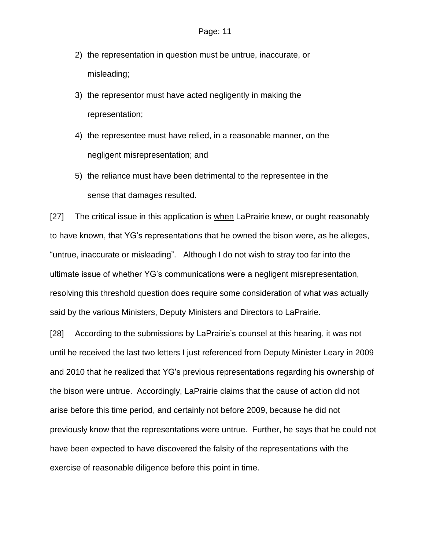- 2) the representation in question must be untrue, inaccurate, or misleading;
- 3) the representor must have acted negligently in making the representation;
- 4) the representee must have relied, in a reasonable manner, on the negligent misrepresentation; and
- 5) the reliance must have been detrimental to the representee in the sense that damages resulted.

[27] The critical issue in this application is when LaPrairie knew, or ought reasonably to have known, that YG"s representations that he owned the bison were, as he alleges, "untrue, inaccurate or misleading". Although I do not wish to stray too far into the ultimate issue of whether YG"s communications were a negligent misrepresentation, resolving this threshold question does require some consideration of what was actually said by the various Ministers, Deputy Ministers and Directors to LaPrairie.

[28] According to the submissions by LaPrairie"s counsel at this hearing, it was not until he received the last two letters I just referenced from Deputy Minister Leary in 2009 and 2010 that he realized that YG"s previous representations regarding his ownership of the bison were untrue. Accordingly, LaPrairie claims that the cause of action did not arise before this time period, and certainly not before 2009, because he did not previously know that the representations were untrue. Further, he says that he could not have been expected to have discovered the falsity of the representations with the exercise of reasonable diligence before this point in time.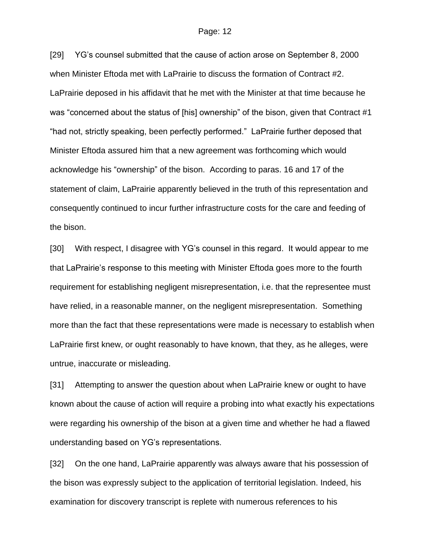[29] YG"s counsel submitted that the cause of action arose on September 8, 2000 when Minister Eftoda met with LaPrairie to discuss the formation of Contract #2. LaPrairie deposed in his affidavit that he met with the Minister at that time because he was "concerned about the status of [his] ownership" of the bison, given that Contract #1 "had not, strictly speaking, been perfectly performed." LaPrairie further deposed that Minister Eftoda assured him that a new agreement was forthcoming which would acknowledge his "ownership" of the bison. According to paras. 16 and 17 of the statement of claim, LaPrairie apparently believed in the truth of this representation and consequently continued to incur further infrastructure costs for the care and feeding of the bison.

[30] With respect, I disagree with YG's counsel in this regard. It would appear to me that LaPrairie"s response to this meeting with Minister Eftoda goes more to the fourth requirement for establishing negligent misrepresentation, i*.*e. that the representee must have relied, in a reasonable manner, on the negligent misrepresentation. Something more than the fact that these representations were made is necessary to establish when LaPrairie first knew, or ought reasonably to have known, that they, as he alleges, were untrue, inaccurate or misleading.

[31] Attempting to answer the question about when LaPrairie knew or ought to have known about the cause of action will require a probing into what exactly his expectations were regarding his ownership of the bison at a given time and whether he had a flawed understanding based on YG"s representations.

[32] On the one hand, LaPrairie apparently was always aware that his possession of the bison was expressly subject to the application of territorial legislation. Indeed, his examination for discovery transcript is replete with numerous references to his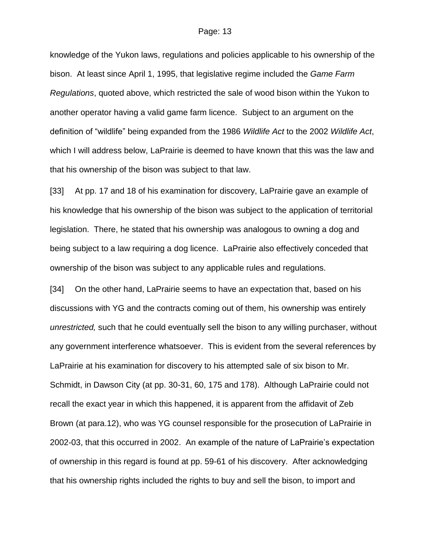knowledge of the Yukon laws, regulations and policies applicable to his ownership of the bison. At least since April 1, 1995, that legislative regime included the *Game Farm Regulations*, quoted above, which restricted the sale of wood bison within the Yukon to another operator having a valid game farm licence. Subject to an argument on the definition of "wildlife" being expanded from the 1986 *Wildlife Act* to the 2002 *Wildlife Act*, which I will address below, LaPrairie is deemed to have known that this was the law and that his ownership of the bison was subject to that law.

[33] At pp. 17 and 18 of his examination for discovery, LaPrairie gave an example of his knowledge that his ownership of the bison was subject to the application of territorial legislation. There, he stated that his ownership was analogous to owning a dog and being subject to a law requiring a dog licence. LaPrairie also effectively conceded that ownership of the bison was subject to any applicable rules and regulations.

[34] On the other hand, LaPrairie seems to have an expectation that, based on his discussions with YG and the contracts coming out of them, his ownership was entirely *unrestricted,* such that he could eventually sell the bison to any willing purchaser, without any government interference whatsoever. This is evident from the several references by LaPrairie at his examination for discovery to his attempted sale of six bison to Mr. Schmidt, in Dawson City (at pp. 30-31, 60, 175 and 178). Although LaPrairie could not recall the exact year in which this happened, it is apparent from the affidavit of Zeb Brown (at para.12), who was YG counsel responsible for the prosecution of LaPrairie in 2002-03, that this occurred in 2002. An example of the nature of LaPrairie"s expectation of ownership in this regard is found at pp. 59-61 of his discovery. After acknowledging that his ownership rights included the rights to buy and sell the bison, to import and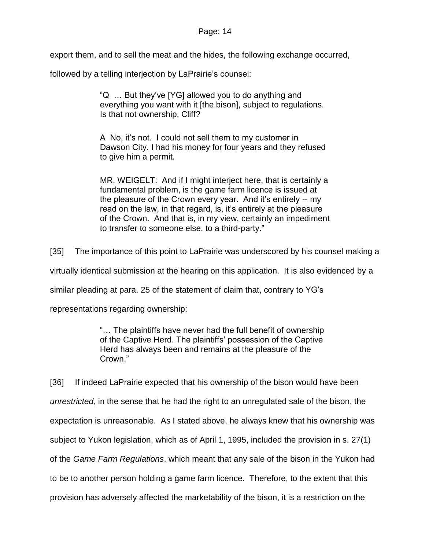export them, and to sell the meat and the hides, the following exchange occurred,

followed by a telling interjection by LaPrairie's counsel:

"Q … But they"ve [YG] allowed you to do anything and everything you want with it [the bison], subject to regulations. Is that not ownership, Cliff?

A No, it's not. I could not sell them to my customer in Dawson City. I had his money for four years and they refused to give him a permit.

MR. WEIGELT: And if I might interject here, that is certainly a fundamental problem, is the game farm licence is issued at the pleasure of the Crown every year. And it's entirely -- my read on the law, in that regard, is, it"s entirely at the pleasure of the Crown. And that is, in my view, certainly an impediment to transfer to someone else, to a third-party."

[35] The importance of this point to LaPrairie was underscored by his counsel making a

virtually identical submission at the hearing on this application. It is also evidenced by a

similar pleading at para. 25 of the statement of claim that, contrary to YG"s

representations regarding ownership:

"… The plaintiffs have never had the full benefit of ownership of the Captive Herd. The plaintiffs" possession of the Captive Herd has always been and remains at the pleasure of the Crown."

[36] If indeed LaPrairie expected that his ownership of the bison would have been *unrestricted*, in the sense that he had the right to an unregulated sale of the bison, the expectation is unreasonable. As I stated above, he always knew that his ownership was subject to Yukon legislation, which as of April 1, 1995, included the provision in s. 27(1) of the *Game Farm Regulations*, which meant that any sale of the bison in the Yukon had to be to another person holding a game farm licence. Therefore, to the extent that this provision has adversely affected the marketability of the bison, it is a restriction on the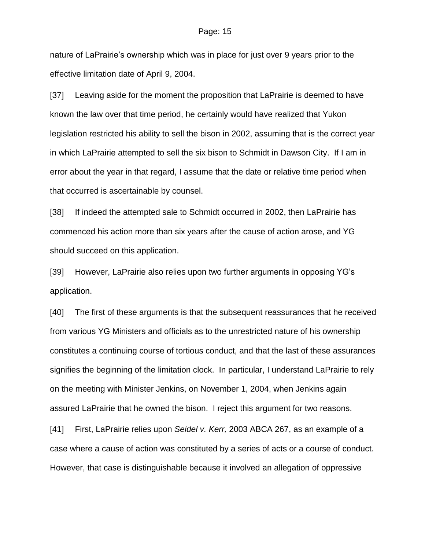nature of LaPrairie's ownership which was in place for just over 9 years prior to the effective limitation date of April 9, 2004.

[37] Leaving aside for the moment the proposition that LaPrairie is deemed to have known the law over that time period, he certainly would have realized that Yukon legislation restricted his ability to sell the bison in 2002, assuming that is the correct year in which LaPrairie attempted to sell the six bison to Schmidt in Dawson City. If I am in error about the year in that regard, I assume that the date or relative time period when that occurred is ascertainable by counsel.

[38] If indeed the attempted sale to Schmidt occurred in 2002, then LaPrairie has commenced his action more than six years after the cause of action arose, and YG should succeed on this application.

[39] However, LaPrairie also relies upon two further arguments in opposing YG's application.

[40] The first of these arguments is that the subsequent reassurances that he received from various YG Ministers and officials as to the unrestricted nature of his ownership constitutes a continuing course of tortious conduct, and that the last of these assurances signifies the beginning of the limitation clock. In particular, I understand LaPrairie to rely on the meeting with Minister Jenkins, on November 1, 2004, when Jenkins again assured LaPrairie that he owned the bison. I reject this argument for two reasons.

[41] First, LaPrairie relies upon *Seidel v. Kerr,* 2003 ABCA 267, as an example of a case where a cause of action was constituted by a series of acts or a course of conduct. However, that case is distinguishable because it involved an allegation of oppressive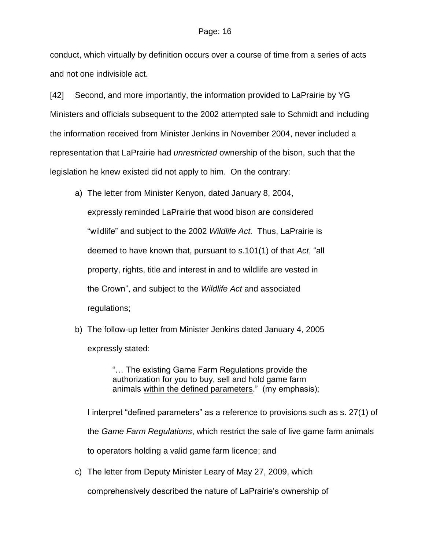conduct, which virtually by definition occurs over a course of time from a series of acts and not one indivisible act.

[42] Second, and more importantly, the information provided to LaPrairie by YG Ministers and officials subsequent to the 2002 attempted sale to Schmidt and including the information received from Minister Jenkins in November 2004, never included a representation that LaPrairie had *unrestricted* ownership of the bison, such that the legislation he knew existed did not apply to him. On the contrary:

- a) The letter from Minister Kenyon, dated January 8, 2004, expressly reminded LaPrairie that wood bison are considered "wildlife" and subject to the 2002 *Wildlife Act.* Thus, LaPrairie is deemed to have known that, pursuant to s.101(1) of that *Act*, "all property, rights, title and interest in and to wildlife are vested in the Crown", and subject to the *Wildlife Act* and associated regulations;
- b) The follow-up letter from Minister Jenkins dated January 4, 2005 expressly stated:

"… The existing Game Farm Regulations provide the authorization for you to buy, sell and hold game farm animals within the defined parameters." (my emphasis);

I interpret "defined parameters" as a reference to provisions such as s. 27(1) of the *Game Farm Regulations*, which restrict the sale of live game farm animals to operators holding a valid game farm licence; and

c) The letter from Deputy Minister Leary of May 27, 2009, which

comprehensively described the nature of LaPrairie"s ownership of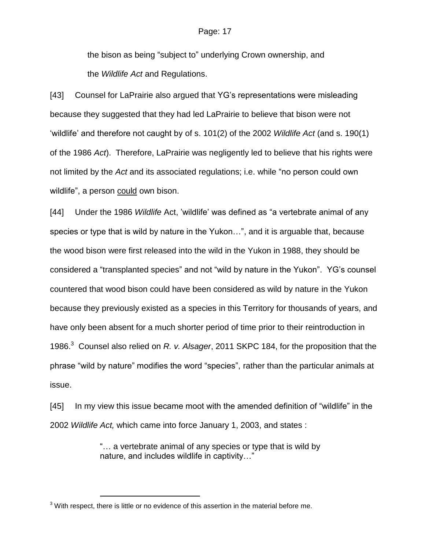the bison as being "subject to" underlying Crown ownership, and the *Wildlife Act* and Regulations.

[43] Counsel for LaPrairie also argued that YG's representations were misleading because they suggested that they had led LaPrairie to believe that bison were not "wildlife" and therefore not caught by of s. 101(2) of the 2002 *Wildlife Act* (and s. 190(1) of the 1986 *Act*). Therefore, LaPrairie was negligently led to believe that his rights were not limited by the *Act* and its associated regulations; i.e. while "no person could own wildlife", a person could own bison.

[44] Under the 1986 *Wildlife* Act, "wildlife" was defined as "a vertebrate animal of any species or type that is wild by nature in the Yukon…", and it is arguable that, because the wood bison were first released into the wild in the Yukon in 1988, they should be considered a "transplanted species" and not "wild by nature in the Yukon". YG"s counsel countered that wood bison could have been considered as wild by nature in the Yukon because they previously existed as a species in this Territory for thousands of years, and have only been absent for a much shorter period of time prior to their reintroduction in 1986. 3 Counsel also relied on *R. v. Alsager*, 2011 SKPC 184, for the proposition that the phrase "wild by nature" modifies the word "species", rather than the particular animals at issue.

[45] In my view this issue became moot with the amended definition of "wildlife" in the 2002 *Wildlife Act,* which came into force January 1, 2003, and states :

> "… a vertebrate animal of any species or type that is wild by nature, and includes wildlife in captivity…"

 $\overline{a}$ 

 $3$  With respect, there is little or no evidence of this assertion in the material before me.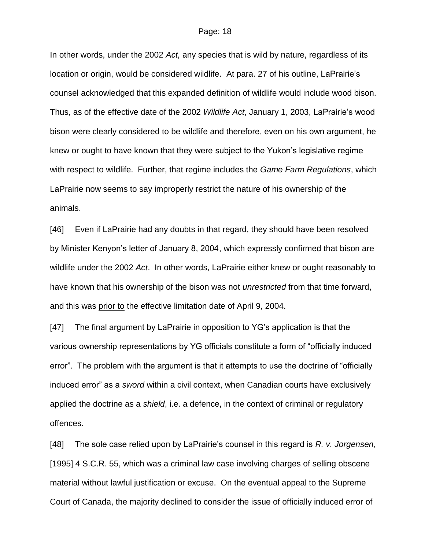In other words, under the 2002 *Act,* any species that is wild by nature, regardless of its location or origin, would be considered wildlife. At para. 27 of his outline, LaPrairie's counsel acknowledged that this expanded definition of wildlife would include wood bison. Thus, as of the effective date of the 2002 *Wildlife Act*, January 1, 2003, LaPrairie"s wood bison were clearly considered to be wildlife and therefore, even on his own argument, he knew or ought to have known that they were subject to the Yukon"s legislative regime with respect to wildlife. Further, that regime includes the *Game Farm Regulations*, which LaPrairie now seems to say improperly restrict the nature of his ownership of the animals.

[46] Even if LaPrairie had any doubts in that regard, they should have been resolved by Minister Kenyon"s letter of January 8, 2004, which expressly confirmed that bison are wildlife under the 2002 *Act*. In other words, LaPrairie either knew or ought reasonably to have known that his ownership of the bison was not *unrestricted* from that time forward, and this was prior to the effective limitation date of April 9, 2004.

[47] The final argument by LaPrairie in opposition to YG"s application is that the various ownership representations by YG officials constitute a form of "officially induced error". The problem with the argument is that it attempts to use the doctrine of "officially induced error" as a *sword* within a civil context, when Canadian courts have exclusively applied the doctrine as a *shield*, i.e. a defence, in the context of criminal or regulatory offences.

[48] The sole case relied upon by LaPrairie"s counsel in this regard is *R. v. Jorgensen*, [1995] 4 S.C.R. 55, which was a criminal law case involving charges of selling obscene material without lawful justification or excuse. On the eventual appeal to the Supreme Court of Canada, the majority declined to consider the issue of officially induced error of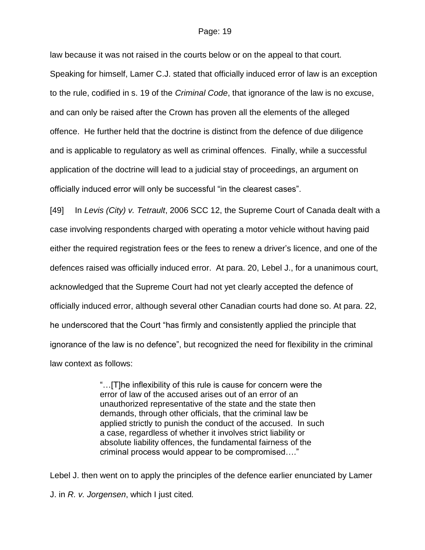law because it was not raised in the courts below or on the appeal to that court. Speaking for himself, Lamer C.J. stated that officially induced error of law is an exception to the rule, codified in s. 19 of the *Criminal Code*, that ignorance of the law is no excuse, and can only be raised after the Crown has proven all the elements of the alleged offence. He further held that the doctrine is distinct from the defence of due diligence and is applicable to regulatory as well as criminal offences. Finally, while a successful application of the doctrine will lead to a judicial stay of proceedings, an argument on officially induced error will only be successful "in the clearest cases".

[49] In *Levis (City) v. Tetrault*, 2006 SCC 12, the Supreme Court of Canada dealt with a case involving respondents charged with operating a motor vehicle without having paid either the required registration fees or the fees to renew a driver"s licence, and one of the defences raised was officially induced error. At para. 20, Lebel J., for a unanimous court, acknowledged that the Supreme Court had not yet clearly accepted the defence of officially induced error, although several other Canadian courts had done so. At para. 22, he underscored that the Court "has firmly and consistently applied the principle that ignorance of the law is no defence", but recognized the need for flexibility in the criminal law context as follows:

> "…[T]he inflexibility of this rule is cause for concern were the error of law of the accused arises out of an error of an unauthorized representative of the state and the state then demands, through other officials, that the criminal law be applied strictly to punish the conduct of the accused. In such a case, regardless of whether it involves strict liability or absolute liability offences, the fundamental fairness of the criminal process would appear to be compromised…."

Lebel J. then went on to apply the principles of the defence earlier enunciated by Lamer J. in *R. v. Jorgensen*, which I just cited*.*